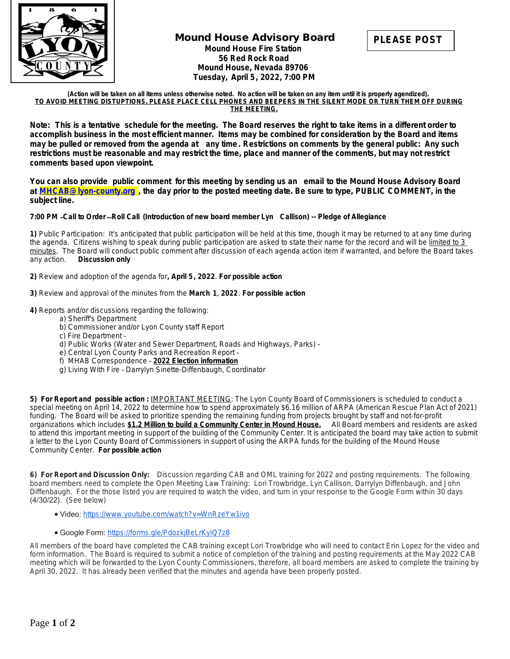

## **Mound House Advisory Board Mound House Fire Station 56 Red Rock Road Mound House, Nevada 89706 Tuesday, April 5, 2022, 7:00 PM**



**(Action will be taken on all items unless otherwise noted. No action will be taken on any item until it is properly agendized). TO AVOID MEETING DISTUPTIONS, PLEASE PLACE CELL PHONES AND BEEPERS IN THE SILENT MODE OR TURN THEM OFF DURING THE MEETING.**

**Note: This is a tentative schedule for the meeting. The Board reserves the right to take items in a different order to accomplish business in the most efficient manner. Items may be combined for consideration by the Board and items may be pulled or removed from the agenda at any time. Restrictions on comments by the general public: Any such restrictions must be reasonable and may restrict the time, place and manner of the comments, but may not restrict comments based upon viewpoint.** 

**You can also provide public comment for this meeting by sending us an email to the Mound House Advisory Board**  at **[MHCAB@lyon-county.org](mailto:MHCAB@lyon-county.org) , the day prior to the posted meeting date. Be sure to type, PUBLIC COMMENT, in the subject line.**

## **7:00 PM** –**Call to Order** —**Roll Call (Introduction of new board member Lyn Callison) -- Pledge of Allegiance**

**1)** Public Participation: It's anticipated that public participation will be held at this time, though it may be returned to at any time during the agenda. Citizens wishing to speak during public participation are asked to state their name for the record and will be limited to 3 minutes. The Board will conduct public comment after discussion of each agenda action item if warranted, and before the Board takes any action. *Discussion only*

**2)** Review and adoption of the agenda for**, April 5, 2022**. *For possible action*

**3)** Review and approval of the minutes from the **March 1**, **2022**. *For possible action*

## **4)** Reports and/or discussions regarding the following:

- a) Sheriff's Department
- b) Commissioner and/or Lyon County staff Report
- c) Fire Department –
- d) Public Works (Water and Sewer Department, Roads and Highways, Parks) –
- e) Central Lyon County Parks and Recreation Report –
- f) MHAB Correspondence **2022 Election information**
- g) Living With Fire Darrylyn Sinette-Diffenbaugh, Coordinator

**5) For Report and possible action :** IMPORTANT MEETING: The Lyon County Board of Commissioners is scheduled to conduct a special meeting on April 14, 2022 to determine how to spend approximately \$6.16 million of ARPA (American Rescue Plan Act of 2021) funding. The Board will be asked to prioritize spending the remaining funding from projects brought by staff and not-for-profit organizations which includes **\$1.2 Million to build a Community Center in Mound House.** All Board members and residents are asked to attend this important meeting in support of the building of the Community Center*.* It is anticipated the board may take action to submit a letter to the Lyon County Board of Commissioners in support of using the ARPA funds for the building of the Mound House Community Center. *For possible action*

**6) For Report and Discussion Only:** Discussion regarding CAB and OML training for 2022 and posting requirements. The following board members need to complete the Open Meeting Law Training: Lori Trowbridge, Lyn Callison, Darrylyn Diffenbaugh, and John Diffenbaugh. For the those listed you are required to watch the video, and turn in your response to the Google Form within 30 days (4/30/22). (See below)

- Video: <https://www.youtube.com/watch?v=WnRzeYw1ivo>
- Google Form: <https://forms.gle/PdozkjBeLrKyiQ7z8>

All members of the board have completed the CAB training except Lori Trowbridge who will need to contact Erin Lopez for the video and form information. The Board is required to submit a notice of completion of the training and posting requirements at the May 2022 CAB meeting which will be forwarded to the Lyon County Commissioners, therefore, all board members are asked to complete the training by April 30, 2022. It has already been verified that the minutes and agenda have been properly posted.